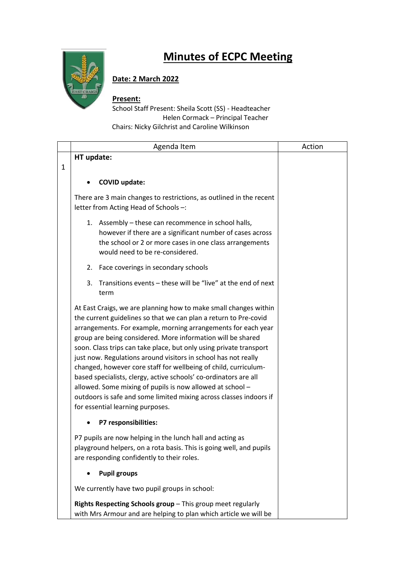

## **Minutes of ECPC Meeting**

## **Date: 2 March 2022**

## **Present:**

School Staff Present: Sheila Scott (SS) - Headteacher Helen Cormack – Principal Teacher Chairs: Nicky Gilchrist and Caroline Wilkinson

|   | Agenda Item                                                                                                                                                                                                                                                                                                                                                                                                                                                                                                                                                                                                                                                                                                                | Action |
|---|----------------------------------------------------------------------------------------------------------------------------------------------------------------------------------------------------------------------------------------------------------------------------------------------------------------------------------------------------------------------------------------------------------------------------------------------------------------------------------------------------------------------------------------------------------------------------------------------------------------------------------------------------------------------------------------------------------------------------|--------|
|   | HT update:                                                                                                                                                                                                                                                                                                                                                                                                                                                                                                                                                                                                                                                                                                                 |        |
| 1 |                                                                                                                                                                                                                                                                                                                                                                                                                                                                                                                                                                                                                                                                                                                            |        |
|   | <b>COVID update:</b>                                                                                                                                                                                                                                                                                                                                                                                                                                                                                                                                                                                                                                                                                                       |        |
|   | There are 3 main changes to restrictions, as outlined in the recent<br>letter from Acting Head of Schools -:                                                                                                                                                                                                                                                                                                                                                                                                                                                                                                                                                                                                               |        |
|   | 1. Assembly - these can recommence in school halls,<br>however if there are a significant number of cases across<br>the school or 2 or more cases in one class arrangements<br>would need to be re-considered.                                                                                                                                                                                                                                                                                                                                                                                                                                                                                                             |        |
|   | Face coverings in secondary schools<br>2.                                                                                                                                                                                                                                                                                                                                                                                                                                                                                                                                                                                                                                                                                  |        |
|   | Transitions events - these will be "live" at the end of next<br>3.<br>term                                                                                                                                                                                                                                                                                                                                                                                                                                                                                                                                                                                                                                                 |        |
|   | At East Craigs, we are planning how to make small changes within<br>the current guidelines so that we can plan a return to Pre-covid<br>arrangements. For example, morning arrangements for each year<br>group are being considered. More information will be shared<br>soon. Class trips can take place, but only using private transport<br>just now. Regulations around visitors in school has not really<br>changed, however core staff for wellbeing of child, curriculum-<br>based specialists, clergy, active schools' co-ordinators are all<br>allowed. Some mixing of pupils is now allowed at school -<br>outdoors is safe and some limited mixing across classes indoors if<br>for essential learning purposes. |        |
|   | P7 responsibilities:                                                                                                                                                                                                                                                                                                                                                                                                                                                                                                                                                                                                                                                                                                       |        |
|   | P7 pupils are now helping in the lunch hall and acting as<br>playground helpers, on a rota basis. This is going well, and pupils<br>are responding confidently to their roles.                                                                                                                                                                                                                                                                                                                                                                                                                                                                                                                                             |        |
|   | <b>Pupil groups</b>                                                                                                                                                                                                                                                                                                                                                                                                                                                                                                                                                                                                                                                                                                        |        |
|   | We currently have two pupil groups in school:                                                                                                                                                                                                                                                                                                                                                                                                                                                                                                                                                                                                                                                                              |        |
|   | Rights Respecting Schools group - This group meet regularly<br>with Mrs Armour and are helping to plan which article we will be                                                                                                                                                                                                                                                                                                                                                                                                                                                                                                                                                                                            |        |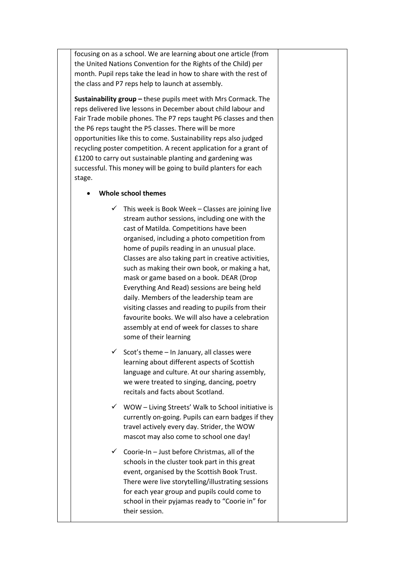focusing on as a school. We are learning about one article (from the United Nations Convention for the Rights of the Child) per month. Pupil reps take the lead in how to share with the rest of the class and P7 reps help to launch at assembly.

**Sustainability group –** these pupils meet with Mrs Cormack. The reps delivered live lessons in December about child labour and Fair Trade mobile phones. The P7 reps taught P6 classes and then the P6 reps taught the P5 classes. There will be more opportunities like this to come. Sustainability reps also judged recycling poster competition. A recent application for a grant of £1200 to carry out sustainable planting and gardening was successful. This money will be going to build planters for each stage.

## • **Whole school themes**

- $\checkmark$  This week is Book Week Classes are joining live stream author sessions, including one with the cast of Matilda. Competitions have been organised, including a photo competition from home of pupils reading in an unusual place. Classes are also taking part in creative activities, such as making their own book, or making a hat, mask or game based on a book. DEAR (Drop Everything And Read) sessions are being held daily. Members of the leadership team are visiting classes and reading to pupils from their favourite books. We will also have a celebration assembly at end of week for classes to share some of their learning
- $\checkmark$  Scot's theme In January, all classes were learning about different aspects of Scottish language and culture. At our sharing assembly, we were treated to singing, dancing, poetry recitals and facts about Scotland.
- $\checkmark$  WOW Living Streets' Walk to School initiative is currently on-going. Pupils can earn badges if they travel actively every day. Strider, the WOW mascot may also come to school one day!
- $\checkmark$  Coorie-In Just before Christmas, all of the schools in the cluster took part in this great event, organised by the Scottish Book Trust. There were live storytelling/illustrating sessions for each year group and pupils could come to school in their pyjamas ready to "Coorie in" for their session.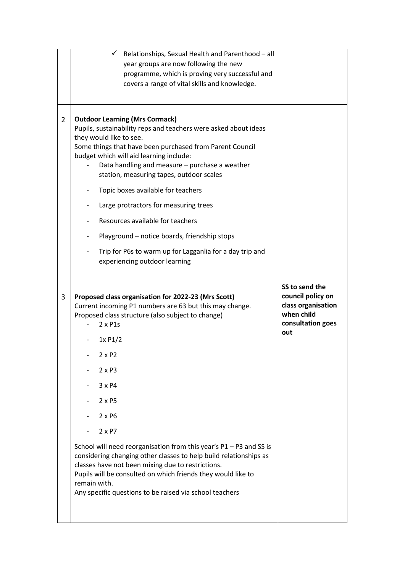| programme, which is proving very successful and<br>covers a range of vital skills and knowledge.                                                                                                                                                                                                                                                                                                                                                                                                                                                                                                                                          |                                                                                                     |
|-------------------------------------------------------------------------------------------------------------------------------------------------------------------------------------------------------------------------------------------------------------------------------------------------------------------------------------------------------------------------------------------------------------------------------------------------------------------------------------------------------------------------------------------------------------------------------------------------------------------------------------------|-----------------------------------------------------------------------------------------------------|
| $\overline{2}$<br><b>Outdoor Learning (Mrs Cormack)</b><br>Pupils, sustainability reps and teachers were asked about ideas<br>they would like to see.<br>Some things that have been purchased from Parent Council<br>budget which will aid learning include:<br>Data handling and measure - purchase a weather<br>station, measuring tapes, outdoor scales<br>Topic boxes available for teachers<br>Large protractors for measuring trees<br>Resources available for teachers<br>Playground - notice boards, friendship stops<br>Trip for P6s to warm up for Lagganlia for a day trip and<br>experiencing outdoor learning                |                                                                                                     |
| 3<br>Proposed class organisation for 2022-23 (Mrs Scott)<br>Current incoming P1 numbers are 63 but this may change.<br>Proposed class structure (also subject to change)<br>$2 \times$ P1s<br>1xP1/2<br>2 x P2<br>$2 \times P3$<br>3 x P4<br>$2 \times P5$<br>$2 \times P6$<br>$2 \times P7$<br>School will need reorganisation from this year's $P1 - P3$ and SS is<br>considering changing other classes to help build relationships as<br>classes have not been mixing due to restrictions.<br>Pupils will be consulted on which friends they would like to<br>remain with.<br>Any specific questions to be raised via school teachers | SS to send the<br>council policy on<br>class organisation<br>when child<br>consultation goes<br>out |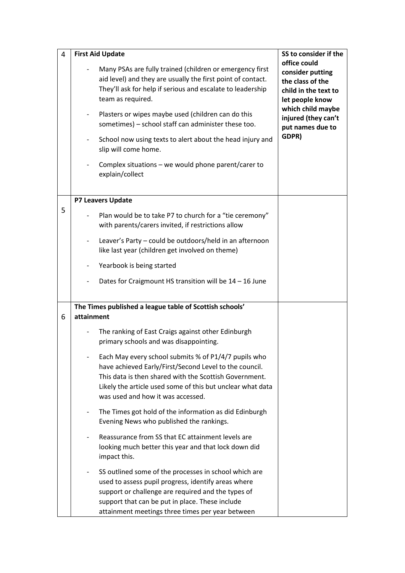| 4 | <b>First Aid Update</b>                                                                                                                                                                                                                                                                                                                                                                                                                                                                                                     | SS to consider if the                                                                                                                                                    |
|---|-----------------------------------------------------------------------------------------------------------------------------------------------------------------------------------------------------------------------------------------------------------------------------------------------------------------------------------------------------------------------------------------------------------------------------------------------------------------------------------------------------------------------------|--------------------------------------------------------------------------------------------------------------------------------------------------------------------------|
|   | Many PSAs are fully trained (children or emergency first<br>aid level) and they are usually the first point of contact.<br>They'll ask for help if serious and escalate to leadership<br>team as required.<br>Plasters or wipes maybe used (children can do this<br>$\overline{\phantom{a}}$<br>sometimes) - school staff can administer these too.<br>School now using texts to alert about the head injury and<br>$\overline{\phantom{a}}$<br>slip will come home.<br>Complex situations – we would phone parent/carer to | office could<br>consider putting<br>the class of the<br>child in the text to<br>let people know<br>which child maybe<br>injured (they can't<br>put names due to<br>GDPR) |
|   | explain/collect                                                                                                                                                                                                                                                                                                                                                                                                                                                                                                             |                                                                                                                                                                          |
|   | P7 Leavers Update                                                                                                                                                                                                                                                                                                                                                                                                                                                                                                           |                                                                                                                                                                          |
| 5 | Plan would be to take P7 to church for a "tie ceremony"<br>with parents/carers invited, if restrictions allow                                                                                                                                                                                                                                                                                                                                                                                                               |                                                                                                                                                                          |
|   | Leaver's Party - could be outdoors/held in an afternoon<br>$\overline{\phantom{a}}$<br>like last year (children get involved on theme)                                                                                                                                                                                                                                                                                                                                                                                      |                                                                                                                                                                          |
|   | Yearbook is being started                                                                                                                                                                                                                                                                                                                                                                                                                                                                                                   |                                                                                                                                                                          |
|   | Dates for Craigmount HS transition will be 14 - 16 June                                                                                                                                                                                                                                                                                                                                                                                                                                                                     |                                                                                                                                                                          |
| 6 | The Times published a league table of Scottish schools'<br>attainment                                                                                                                                                                                                                                                                                                                                                                                                                                                       |                                                                                                                                                                          |
|   | The ranking of East Craigs against other Edinburgh<br>primary schools and was disappointing.                                                                                                                                                                                                                                                                                                                                                                                                                                |                                                                                                                                                                          |
|   | Each May every school submits % of P1/4/7 pupils who<br>have achieved Early/First/Second Level to the council.<br>This data is then shared with the Scottish Government.<br>Likely the article used some of this but unclear what data<br>was used and how it was accessed.                                                                                                                                                                                                                                                 |                                                                                                                                                                          |
|   | The Times got hold of the information as did Edinburgh<br>Evening News who published the rankings.                                                                                                                                                                                                                                                                                                                                                                                                                          |                                                                                                                                                                          |
|   | Reassurance from SS that EC attainment levels are<br>looking much better this year and that lock down did<br>impact this.                                                                                                                                                                                                                                                                                                                                                                                                   |                                                                                                                                                                          |
|   | SS outlined some of the processes in school which are<br>used to assess pupil progress, identify areas where<br>support or challenge are required and the types of<br>support that can be put in place. These include<br>attainment meetings three times per year between                                                                                                                                                                                                                                                   |                                                                                                                                                                          |